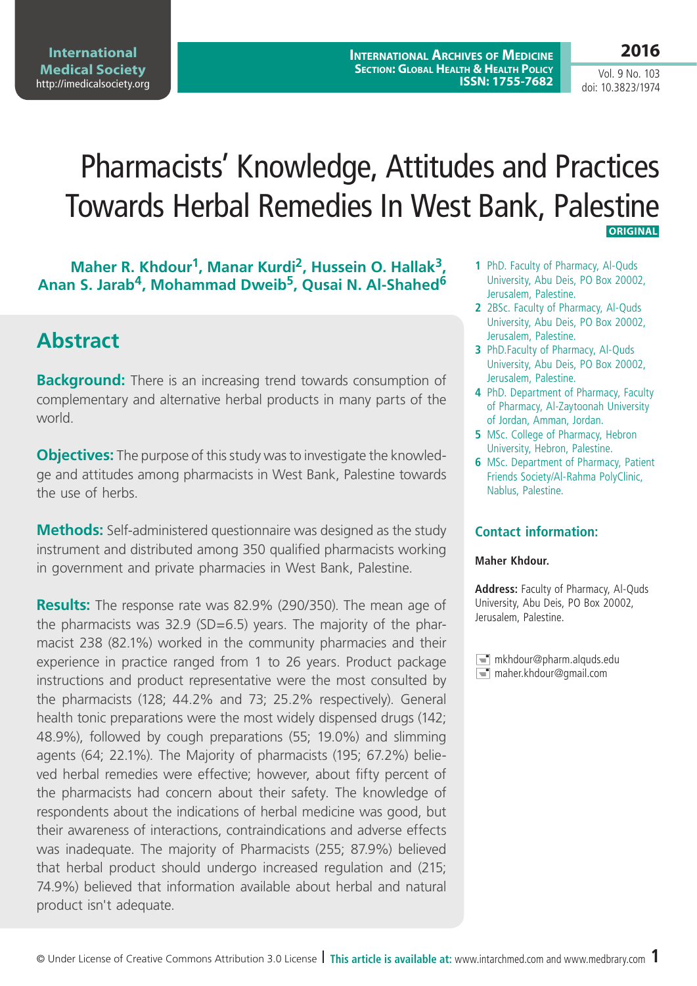**2016**

Vol. 9 No. 103 doi: 10.3823/1974

# Pharmacists' Knowledge, Attitudes and Practices Towards Herbal Remedies In West Bank, Palestine  **Original**

#### Maher R. Khdour<sup>1</sup>, Manar Kurdi<sup>2</sup>, Hussein O. Hallak<sup>3</sup>, **Anan S. Jarab4, Mohammad Dweib5, Qusai N. Al-Shahed6**

## **Abstract**

**Background:** There is an increasing trend towards consumption of complementary and alternative herbal products in many parts of the world.

**Objectives:** The purpose of this study was to investigate the knowledge and attitudes among pharmacists in West Bank, Palestine towards the use of herbs.

**Methods:** Self-administered questionnaire was designed as the study instrument and distributed among 350 qualified pharmacists working in government and private pharmacies in West Bank, Palestine.

**Results:** The response rate was 82.9% (290/350). The mean age of the pharmacists was 32.9 (SD=6.5) years. The majority of the pharmacist 238 (82.1%) worked in the community pharmacies and their experience in practice ranged from 1 to 26 years. Product package instructions and product representative were the most consulted by the pharmacists (128; 44.2% and 73; 25.2% respectively). General health tonic preparations were the most widely dispensed drugs (142; 48.9%), followed by cough preparations (55; 19.0%) and slimming agents (64; 22.1%). The Majority of pharmacists (195; 67.2%) believed herbal remedies were effective; however, about fifty percent of the pharmacists had concern about their safety. The knowledge of respondents about the indications of herbal medicine was good, but their awareness of interactions, contraindications and adverse effects was inadequate. The majority of Pharmacists (255; 87.9%) believed that herbal product should undergo increased regulation and (215; 74.9%) believed that information available about herbal and natural product isn't adequate.

- **1** PhD. Faculty of Pharmacy, Al-Quds University, Abu Deis, PO Box 20002, Jerusalem, Palestine.
- **2** 2BSc. Faculty of Pharmacy, Al-Quds University, Abu Deis, PO Box 20002, Jerusalem, Palestine.
- **3** PhD.Faculty of Pharmacy, Al-Quds University, Abu Deis, PO Box 20002, Jerusalem, Palestine.
- **4** PhD. Department of Pharmacy, Faculty of Pharmacy, Al-Zaytoonah University of Jordan, Amman, Jordan.
- **5** MSc. College of Pharmacy, Hebron University, Hebron, Palestine.
- **6** MSc. Department of Pharmacy, Patient Friends Society/Al-Rahma PolyClinic, Nablus, Palestine.

#### **Contact information:**

#### **Maher Khdour.**

**Address:** Faculty of Pharmacy, Al-Quds University, Abu Deis, PO Box 20002, Jerusalem, Palestine.

 $\equiv$  mkhdour@pharm.alquds.edu  $\equiv$  maher.khdour@gmail.com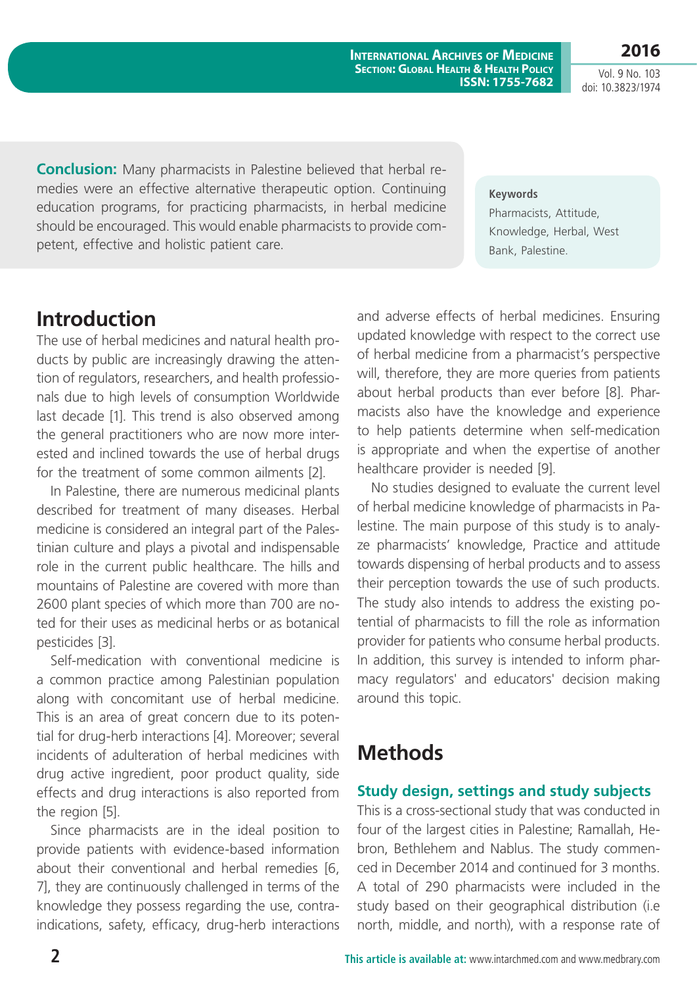**2016** Vol. 9 No. 103 doi: 10.3823/1974

**Conclusion:** Many pharmacists in Palestine believed that herbal remedies were an effective alternative therapeutic option. Continuing education programs, for practicing pharmacists, in herbal medicine should be encouraged. This would enable pharmacists to provide competent, effective and holistic patient care.

**Keywords**

Pharmacists, Attitude, Knowledge, Herbal, West Bank, Palestine.

## **Introduction**

The use of herbal medicines and natural health products by public are increasingly drawing the attention of regulators, researchers, and health professionals due to high levels of consumption Worldwide last decade [1]. This trend is also observed among the general practitioners who are now more interested and inclined towards the use of herbal drugs for the treatment of some common ailments [2].

In Palestine, there are numerous medicinal plants described for treatment of many diseases. Herbal medicine is considered an integral part of the Palestinian culture and plays a pivotal and indispensable role in the current public healthcare. The hills and mountains of Palestine are covered with more than 2600 plant species of which more than 700 are noted for their uses as medicinal herbs or as botanical pesticides [3].

Self-medication with conventional medicine is a common practice among Palestinian population along with concomitant use of herbal medicine. This is an area of great concern due to its potential for drug-herb interactions [4]. Moreover; several incidents of adulteration of herbal medicines with drug active ingredient, poor product quality, side effects and drug interactions is also reported from the region [5].

Since pharmacists are in the ideal position to provide patients with evidence-based information about their conventional and herbal remedies [6, 7], they are continuously challenged in terms of the knowledge they possess regarding the use, contraindications, safety, efficacy, drug-herb interactions and adverse effects of herbal medicines. Ensuring updated knowledge with respect to the correct use of herbal medicine from a pharmacist's perspective will, therefore, they are more queries from patients about herbal products than ever before [8]. Pharmacists also have the knowledge and experience to help patients determine when self-medication is appropriate and when the expertise of another healthcare provider is needed [9].

No studies designed to evaluate the current level of herbal medicine knowledge of pharmacists in Palestine. The main purpose of this study is to analyze pharmacists' knowledge, Practice and attitude towards dispensing of herbal products and to assess their perception towards the use of such products. The study also intends to address the existing potential of pharmacists to fill the role as information provider for patients who consume herbal products. In addition, this survey is intended to inform pharmacy regulators' and educators' decision making around this topic.

## **Methods**

#### **Study design, settings and study subjects**

This is a cross-sectional study that was conducted in four of the largest cities in Palestine; Ramallah, Hebron, Bethlehem and Nablus. The study commenced in December 2014 and continued for 3 months. A total of 290 pharmacists were included in the study based on their geographical distribution (i.e north, middle, and north), with a response rate of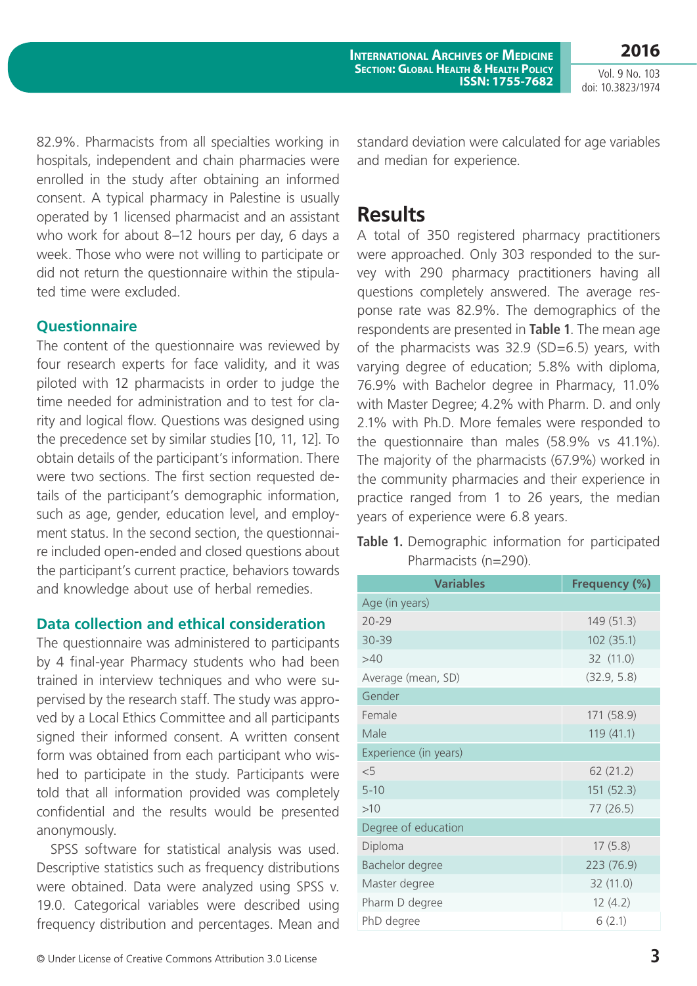**2016** Vol. 9 No. 103

doi: 10.3823/1974

82.9%. Pharmacists from all specialties working in hospitals, independent and chain pharmacies were enrolled in the study after obtaining an informed consent. A typical pharmacy in Palestine is usually operated by 1 licensed pharmacist and an assistant who work for about 8–12 hours per day, 6 days a week. Those who were not willing to participate or did not return the questionnaire within the stipulated time were excluded.

#### **Questionnaire**

The content of the questionnaire was reviewed by four research experts for face validity, and it was piloted with 12 pharmacists in order to judge the time needed for administration and to test for clarity and logical flow. Questions was designed using the precedence set by similar studies [10, 11, 12]. To obtain details of the participant's information. There were two sections. The first section requested details of the participant's demographic information, such as age, gender, education level, and employment status. In the second section, the questionnaire included open-ended and closed questions about the participant's current practice, behaviors towards and knowledge about use of herbal remedies.

#### **Data collection and ethical consideration**

The questionnaire was administered to participants by 4 final-year Pharmacy students who had been trained in interview techniques and who were supervised by the research staff. The study was approved by a Local Ethics Committee and all participants signed their informed consent. A written consent form was obtained from each participant who wished to participate in the study. Participants were told that all information provided was completely confidential and the results would be presented anonymously.

SPSS software for statistical analysis was used. Descriptive statistics such as frequency distributions were obtained. Data were analyzed using SPSS v. 19.0. Categorical variables were described using frequency distribution and percentages. Mean and standard deviation were calculated for age variables and median for experience.

## **Results**

A total of 350 registered pharmacy practitioners were approached. Only 303 responded to the survey with 290 pharmacy practitioners having all questions completely answered. The average response rate was 82.9%. The demographics of the respondents are presented in **Table 1**. The mean age of the pharmacists was 32.9 (SD=6.5) years, with varying degree of education; 5.8% with diploma, 76.9% with Bachelor degree in Pharmacy, 11.0% with Master Degree; 4.2% with Pharm. D. and only 2.1% with Ph.D. More females were responded to the questionnaire than males (58.9% vs 41.1%). The majority of the pharmacists (67.9%) worked in the community pharmacies and their experience in practice ranged from 1 to 26 years, the median years of experience were 6.8 years.

**Table 1.** Demographic information for participated Pharmacists (n=290).

| <b>Variables</b>      | Frequency (%) |
|-----------------------|---------------|
| Age (in years)        |               |
| $20 - 29$             | 149 (51.3)    |
| 30-39                 | 102 (35.1)    |
| >40                   | 32 (11.0)     |
| Average (mean, SD)    | (32.9, 5.8)   |
| Gender                |               |
| Female                | 171 (58.9)    |
| Male                  | 119(41.1)     |
| Experience (in years) |               |
| $\leq 5$              | 62(21.2)      |
| $5 - 10$              | 151 (52.3)    |
| >10                   | 77(26.5)      |
| Degree of education   |               |
| Diploma               | 17(5.8)       |
| Bachelor degree       | 223 (76.9)    |
| Master degree         | 32 (11.0)     |
| Pharm D degree        | 12(4.2)       |
| PhD degree            | 6(2.1)        |
|                       |               |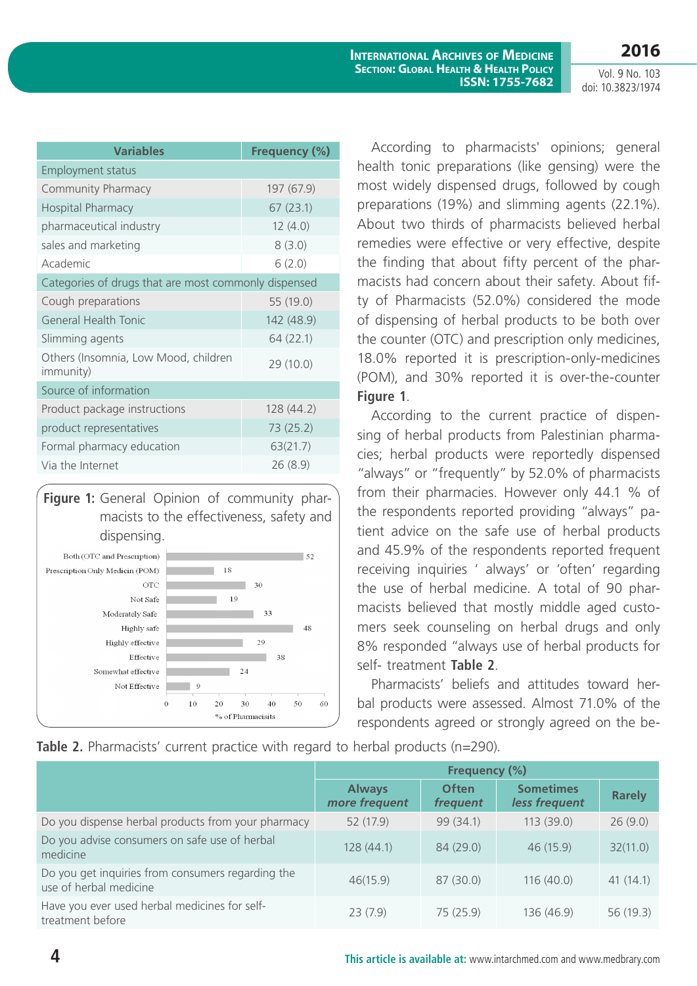| <b>Variables</b>                                          | Frequency (%) |  |  |  |  |
|-----------------------------------------------------------|---------------|--|--|--|--|
| <b>Employment status</b>                                  |               |  |  |  |  |
| Community Pharmacy                                        | 197 (67.9)    |  |  |  |  |
| <b>Hospital Pharmacy</b>                                  | 67(23.1)      |  |  |  |  |
| pharmaceutical industry                                   | 12(4.0)       |  |  |  |  |
| sales and marketing                                       | 8(3.0)        |  |  |  |  |
| Academic                                                  | 6(2.0)        |  |  |  |  |
| Categories of drugs that are most commonly dispensed      |               |  |  |  |  |
| Cough preparations                                        | 55 (19.0)     |  |  |  |  |
| General Health Tonic                                      | 142 (48.9)    |  |  |  |  |
| Slimming agents                                           | 64 (22.1)     |  |  |  |  |
| Others (Insomnia, Low Mood, children<br><i>immunity</i> ) | 29 (10.0)     |  |  |  |  |
| Source of information                                     |               |  |  |  |  |
| Product package instructions                              | 128 (44.2)    |  |  |  |  |
| product representatives                                   | 73 (25.2)     |  |  |  |  |
| Formal pharmacy education                                 | 63(21.7)      |  |  |  |  |
| Via the Internet                                          | 26(8.9)       |  |  |  |  |

**Figure 1:** General Opinion of community pharmacists to the effectiveness, safety and dispensing.



According to pharmacists' opinions; general health tonic preparations (like gensing) were the most widely dispensed drugs, followed by cough preparations (19%) and slimming agents (22.1%). About two thirds of pharmacists believed herbal remedies were effective or very effective, despite the finding that about fifty percent of the pharmacists had concern about their safety. About fifty of Pharmacists (52.0%) considered the mode of dispensing of herbal products to be both over the counter (OTC) and prescription only medicines, 18.0% reported it is prescription-only-medicines (POM), and 30% reported it is over-the-counter **Figure 1**.

According to the current practice of dispensing of herbal products from Palestinian pharmacies; herbal products were reportedly dispensed "always" or "frequently" by 52.0% of pharmacists from their pharmacies. However only 44.1 % of the respondents reported providing "always" patient advice on the safe use of herbal products and 45.9% of the respondents reported frequent receiving inquiries ' always' or 'often' regarding the use of herbal medicine. A total of 90 pharmacists believed that mostly middle aged customers seek counseling on herbal drugs and only 8% responded "always use of herbal products for self- treatment **Table 2**.

Pharmacists' beliefs and attitudes toward herbal products were assessed. Almost 71.0% of the respondents agreed or strongly agreed on the be-

**Table 2.** Pharmacists' current practice with regard to herbal products (n=290).

|                                                                             | Frequency (%)                  |                          |                                   |               |
|-----------------------------------------------------------------------------|--------------------------------|--------------------------|-----------------------------------|---------------|
|                                                                             | <b>Always</b><br>more frequent | <b>Often</b><br>frequent | <b>Sometimes</b><br>less frequent | <b>Rarely</b> |
| Do you dispense herbal products from your pharmacy                          | 52 (17.9)                      | 99 (34.1)                | 113(39.0)                         | 26(9.0)       |
| Do you advise consumers on safe use of herbal<br>medicine                   | 128(44.1)                      | 84 (29.0)                | 46 (15.9)                         | 32(11.0)      |
| Do you get inquiries from consumers regarding the<br>use of herbal medicine | 46(15.9)                       | 87 (30.0)                | 116(40.0)                         | 41(14.1)      |
| Have you ever used herbal medicines for self-<br>treatment before           | 23(7.9)                        | 75 (25.9)                | 136 (46.9)                        | 56 (19.3)     |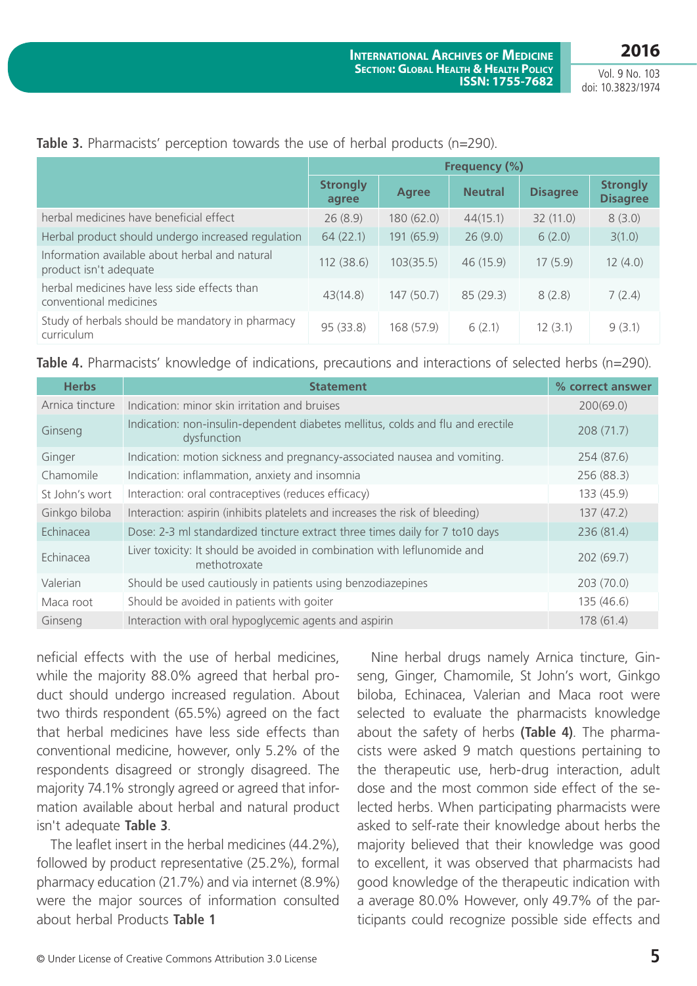|                                                                          | Frequency (%)            |              |                |                 |                                    |
|--------------------------------------------------------------------------|--------------------------|--------------|----------------|-----------------|------------------------------------|
|                                                                          | <b>Strongly</b><br>agree | <b>Agree</b> | <b>Neutral</b> | <b>Disagree</b> | <b>Strongly</b><br><b>Disagree</b> |
| herbal medicines have beneficial effect                                  | 26(8.9)                  | 180(62.0)    | 44(15.1)       | 32(11.0)        | 8(3.0)                             |
| Herbal product should undergo increased regulation                       | 64(22.1)                 | 191 (65.9)   | 26(9.0)        | 6(2.0)          | 3(1.0)                             |
| Information available about herbal and natural<br>product isn't adequate | 112(38.6)                | 103(35.5)    | 46 (15.9)      | 17(5.9)         | 12(4.0)                            |
| herbal medicines have less side effects than<br>conventional medicines   | 43(14.8)                 | 147(50.7)    | 85(29.3)       | 8(2.8)          | 7(2.4)                             |
| Study of herbals should be mandatory in pharmacy<br>curriculum           | 95 (33.8)                | 168 (57.9)   | 6(2.1)         | 12(3.1)         | 9(3.1)                             |

#### **Table 3.** Pharmacists' perception towards the use of herbal products (n=290).

**Table 4.** Pharmacists' knowledge of indications, precautions and interactions of selected herbs (n=290).

| <b>Herbs</b>     | <b>Statement</b>                                                                               | % correct answer |
|------------------|------------------------------------------------------------------------------------------------|------------------|
| Arnica tincture  | Indication: minor skin irritation and bruises                                                  | 200(69.0)        |
| Ginseng          | Indication: non-insulin-dependent diabetes mellitus, colds and flu and erectile<br>dysfunction | 208(71.7)        |
| Ginger           | Indication: motion sickness and pregnancy-associated nausea and vomiting.                      | 254 (87.6)       |
| Chamomile        | Indication: inflammation, anxiety and insomnia                                                 | 256 (88.3)       |
| St John's wort   | Interaction: oral contraceptives (reduces efficacy)                                            | 133 (45.9)       |
| Ginkgo biloba    | Interaction: aspirin (inhibits platelets and increases the risk of bleeding)                   | 137(47.2)        |
| Echinacea        | Dose: 2-3 ml standardized tincture extract three times daily for 7 to 10 days                  | 236 (81.4)       |
| <b>Echinacea</b> | Liver toxicity: It should be avoided in combination with leflunomide and<br>methotroxate       | 202 (69.7)       |
| Valerian         | Should be used cautiously in patients using benzodiazepines                                    | 203(70.0)        |
| Maca root        | Should be avoided in patients with goiter                                                      | 135 (46.6)       |
| Ginseng          | Interaction with oral hypoglycemic agents and aspirin                                          | 178(61.4)        |

neficial effects with the use of herbal medicines, while the majority 88.0% agreed that herbal product should undergo increased regulation. About two thirds respondent (65.5%) agreed on the fact that herbal medicines have less side effects than conventional medicine, however, only 5.2% of the respondents disagreed or strongly disagreed. The majority 74.1% strongly agreed or agreed that information available about herbal and natural product isn't adequate **Table 3**.

The leaflet insert in the herbal medicines (44.2%), followed by product representative (25.2%), formal pharmacy education (21.7%) and via internet (8.9%) were the major sources of information consulted about herbal Products **Table 1**

Nine herbal drugs namely Arnica tincture, Ginseng, Ginger, Chamomile, St John's wort, Ginkgo biloba, Echinacea, Valerian and Maca root were selected to evaluate the pharmacists knowledge about the safety of herbs **(Table 4)**. The pharmacists were asked 9 match questions pertaining to the therapeutic use, herb-drug interaction, adult dose and the most common side effect of the selected herbs. When participating pharmacists were asked to self-rate their knowledge about herbs the majority believed that their knowledge was good to excellent, it was observed that pharmacists had good knowledge of the therapeutic indication with a average 80.0% However, only 49.7% of the participants could recognize possible side effects and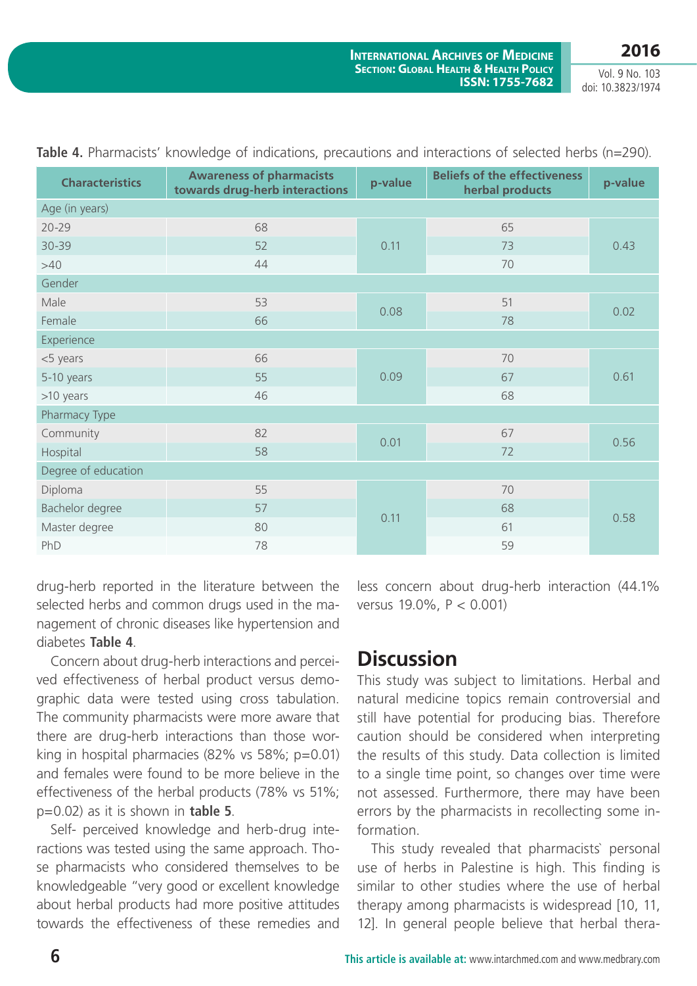| <b>Characteristics</b> | <b>Awareness of pharmacists</b><br>towards drug-herb interactions | <b>Beliefs of the effectiveness</b><br>p-value<br>herbal products |    | p-value |  |  |
|------------------------|-------------------------------------------------------------------|-------------------------------------------------------------------|----|---------|--|--|
| Age (in years)         |                                                                   |                                                                   |    |         |  |  |
| $20 - 29$              | 68                                                                |                                                                   | 65 |         |  |  |
| 30-39                  | 52                                                                | 0.11                                                              | 73 | 0.43    |  |  |
| >40                    | 44                                                                |                                                                   | 70 |         |  |  |
| Gender                 |                                                                   |                                                                   |    |         |  |  |
| Male                   | 53                                                                | 0.08                                                              | 51 | 0.02    |  |  |
| Female                 | 66                                                                |                                                                   | 78 |         |  |  |
| Experience             |                                                                   |                                                                   |    |         |  |  |
| <5 years               | 66                                                                |                                                                   | 70 | 0.61    |  |  |
| 5-10 years             | 55                                                                | 0.09                                                              | 67 |         |  |  |
| >10 years              | 46                                                                |                                                                   | 68 |         |  |  |
| Pharmacy Type          |                                                                   |                                                                   |    |         |  |  |
| Community              | 82                                                                | 0.01                                                              | 67 |         |  |  |
| Hospital               | 58                                                                |                                                                   | 72 | 0.56    |  |  |
| Degree of education    |                                                                   |                                                                   |    |         |  |  |
| Diploma                | 55                                                                |                                                                   | 70 |         |  |  |
| Bachelor degree        | 57                                                                |                                                                   | 68 |         |  |  |
| Master degree          | 80                                                                | 0.11                                                              | 61 | 0.58    |  |  |
| PhD                    | 78                                                                |                                                                   | 59 |         |  |  |

|  |  |  |  |  | Table 4. Pharmacists' knowledge of indications, precautions and interactions of selected herbs (n=290). |  |  |  |
|--|--|--|--|--|---------------------------------------------------------------------------------------------------------|--|--|--|
|--|--|--|--|--|---------------------------------------------------------------------------------------------------------|--|--|--|

drug-herb reported in the literature between the selected herbs and common drugs used in the management of chronic diseases like hypertension and diabetes **Table 4**.

Concern about drug-herb interactions and perceived effectiveness of herbal product versus demographic data were tested using cross tabulation. The community pharmacists were more aware that there are drug-herb interactions than those working in hospital pharmacies (82% vs 58%; p=0.01) and females were found to be more believe in the effectiveness of the herbal products (78% vs 51%; p=0.02) as it is shown in **table 5**.

Self- perceived knowledge and herb-drug interactions was tested using the same approach. Those pharmacists who considered themselves to be knowledgeable "very good or excellent knowledge about herbal products had more positive attitudes towards the effectiveness of these remedies and less concern about drug-herb interaction (44.1% versus 19.0%, P < 0.001)

### **Discussion**

This study was subject to limitations. Herbal and natural medicine topics remain controversial and still have potential for producing bias. Therefore caution should be considered when interpreting the results of this study. Data collection is limited to a single time point, so changes over time were not assessed. Furthermore, there may have been errors by the pharmacists in recollecting some information.

This study revealed that pharmacists` personal use of herbs in Palestine is high. This finding is similar to other studies where the use of herbal therapy among pharmacists is widespread [10, 11, 12]. In general people believe that herbal thera-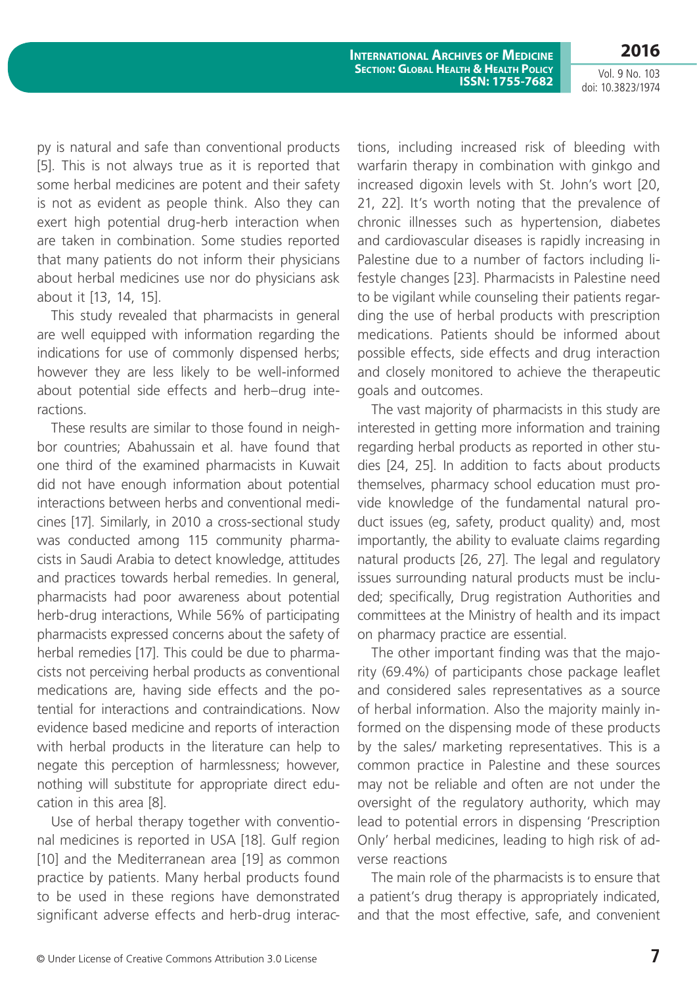**2016**

py is natural and safe than conventional products [5]. This is not always true as it is reported that some herbal medicines are potent and their safety is not as evident as people think. Also they can exert high potential drug-herb interaction when are taken in combination. Some studies reported that many patients do not inform their physicians about herbal medicines use nor do physicians ask about it [13, 14, 15].

This study revealed that pharmacists in general are well equipped with information regarding the indications for use of commonly dispensed herbs; however they are less likely to be well-informed about potential side effects and herb–drug interactions.

These results are similar to those found in neighbor countries; Abahussain et al. have found that one third of the examined pharmacists in Kuwait did not have enough information about potential interactions between herbs and conventional medicines [17]. Similarly, in 2010 a cross-sectional study was conducted among 115 community pharmacists in Saudi Arabia to detect knowledge, attitudes and practices towards herbal remedies. In general, pharmacists had poor awareness about potential herb-drug interactions, While 56% of participating pharmacists expressed concerns about the safety of herbal remedies [17]. This could be due to pharmacists not perceiving herbal products as conventional medications are, having side effects and the potential for interactions and contraindications. Now evidence based medicine and reports of interaction with herbal products in the literature can help to negate this perception of harmlessness; however, nothing will substitute for appropriate direct education in this area [8].

Use of herbal therapy together with conventional medicines is reported in USA [18]. Gulf region [10] and the Mediterranean area [19] as common practice by patients. Many herbal products found to be used in these regions have demonstrated significant adverse effects and herb-drug interactions, including increased risk of bleeding with warfarin therapy in combination with ginkgo and increased digoxin levels with St. John's wort [20, 21, 22]. It's worth noting that the prevalence of chronic illnesses such as hypertension, diabetes and cardiovascular diseases is rapidly increasing in Palestine due to a number of factors including lifestyle changes [23]. Pharmacists in Palestine need to be vigilant while counseling their patients regarding the use of herbal products with prescription medications. Patients should be informed about possible effects, side effects and drug interaction and closely monitored to achieve the therapeutic goals and outcomes.

The vast majority of pharmacists in this study are interested in getting more information and training regarding herbal products as reported in other studies [24, 25]. In addition to facts about products themselves, pharmacy school education must provide knowledge of the fundamental natural product issues (eg, safety, product quality) and, most importantly, the ability to evaluate claims regarding natural products [26, 27]. The legal and regulatory issues surrounding natural products must be included; specifically, Drug registration Authorities and committees at the Ministry of health and its impact on pharmacy practice are essential.

The other important finding was that the majority (69.4%) of participants chose package leaflet and considered sales representatives as a source of herbal information. Also the majority mainly informed on the dispensing mode of these products by the sales/ marketing representatives. This is a common practice in Palestine and these sources may not be reliable and often are not under the oversight of the regulatory authority, which may lead to potential errors in dispensing 'Prescription Only' herbal medicines, leading to high risk of adverse reactions

The main role of the pharmacists is to ensure that a patient's drug therapy is appropriately indicated, and that the most effective, safe, and convenient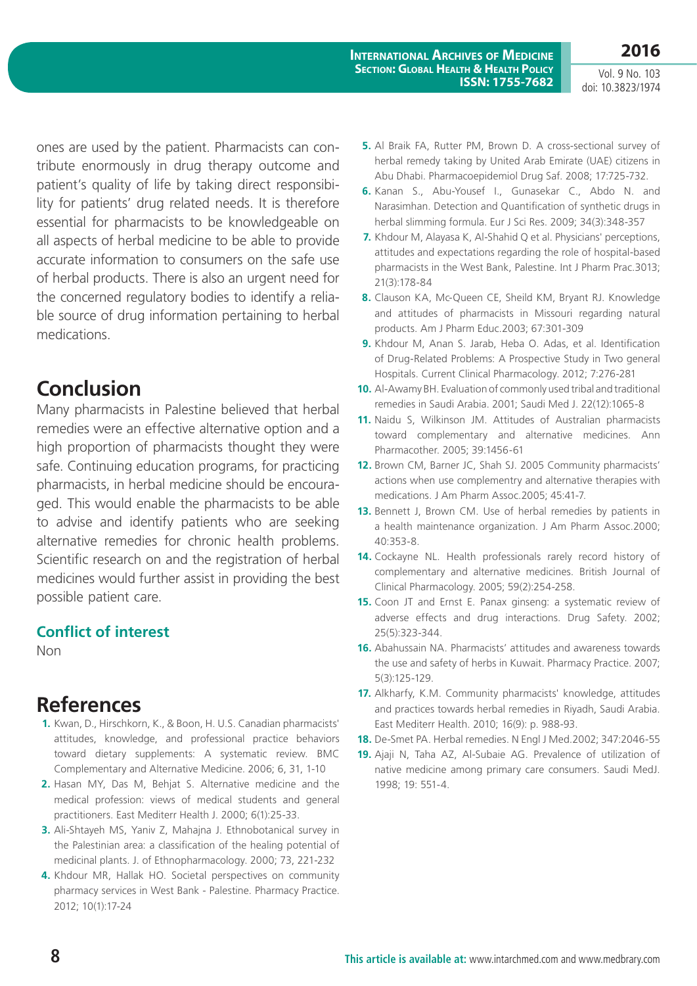Vol. 9 No. 103 doi: 10.3823/1974

**2016**

ones are used by the patient. Pharmacists can contribute enormously in drug therapy outcome and patient's quality of life by taking direct responsibility for patients' drug related needs. It is therefore essential for pharmacists to be knowledgeable on all aspects of herbal medicine to be able to provide accurate information to consumers on the safe use of herbal products. There is also an urgent need for the concerned regulatory bodies to identify a reliable source of drug information pertaining to herbal medications.

## **Conclusion**

Many pharmacists in Palestine believed that herbal remedies were an effective alternative option and a high proportion of pharmacists thought they were safe. Continuing education programs, for practicing pharmacists, in herbal medicine should be encouraged. This would enable the pharmacists to be able to advise and identify patients who are seeking alternative remedies for chronic health problems. Scientific research on and the registration of herbal medicines would further assist in providing the best possible patient care.

#### **Conflict of interest**

Non

### **References**

- **1.** Kwan, D., Hirschkorn, K., & Boon, H. U.S. Canadian pharmacists' attitudes, knowledge, and professional practice behaviors toward dietary supplements: A systematic review. BMC Complementary and Alternative Medicine. 2006; 6, 31, 1-10
- **2.** Hasan MY, Das M, Behjat S. Alternative medicine and the medical profession: views of medical students and general practitioners. East Mediterr Health J. 2000; 6(1):25-33.
- **3.** Ali-Shtayeh MS, Yaniv Z, Mahajna J. Ethnobotanical survey in the Palestinian area: a classification of the healing potential of medicinal plants. J. of Ethnopharmacology. 2000; 73, 221-232
- **4.** Khdour MR, Hallak HO. Societal perspectives on community pharmacy services in West Bank - Palestine. Pharmacy Practice. 2012; 10(1):17-24
- **5.** Al Braik FA, Rutter PM, Brown D. A cross-sectional survey of herbal remedy taking by United Arab Emirate (UAE) citizens in Abu Dhabi. Pharmacoepidemiol Drug Saf. 2008; 17:725-732.
- **6.** Kanan S., Abu-Yousef I., Gunasekar C., Abdo N. and Narasimhan. Detection and Quantification of synthetic drugs in herbal slimming formula. Eur J Sci Res. 2009; 34(3):348-357
- **7.** Khdour M, Alayasa K, Al-Shahid Q et al. Physicians' perceptions, attitudes and expectations regarding the role of hospital-based pharmacists in the West Bank, Palestine. Int J Pharm Prac.3013; 21(3):178-84
- **8.** Clauson KA, Mc-Queen CE, Sheild KM, Bryant RJ. Knowledge and attitudes of pharmacists in Missouri regarding natural products. Am J Pharm Educ.2003; 67:301-309
- **9.** Khdour M, Anan S. Jarab, Heba O. Adas, et al. Identification of Drug-Related Problems: A Prospective Study in Two general Hospitals. Current Clinical Pharmacology. 2012; 7:276-281
- **10.** Al-Awamy BH. Evaluation of commonly used tribal and traditional remedies in Saudi Arabia. 2001; Saudi Med J. 22(12):1065-8
- **11.** Naidu S, Wilkinson JM. Attitudes of Australian pharmacists toward complementary and alternative medicines. Ann Pharmacother. 2005; 39:1456-61
- **12.** Brown CM, Barner JC, Shah SJ. 2005 Community pharmacists' actions when use complementry and alternative therapies with medications. J Am Pharm Assoc.2005; 45:41-7.
- **13.** Bennett J, Brown CM. Use of herbal remedies by patients in a health maintenance organization. J Am Pharm Assoc.2000; 40:353-8.
- **14.** Cockayne NL. Health professionals rarely record history of complementary and alternative medicines. British Journal of Clinical Pharmacology. 2005; 59(2):254-258.
- **15.** Coon JT and Ernst E. Panax ginseng: a systematic review of adverse effects and drug interactions. Drug Safety. 2002; 25(5):323-344.
- **16.** Abahussain NA. Pharmacists' attitudes and awareness towards the use and safety of herbs in Kuwait. Pharmacy Practice. 2007; 5(3):125-129.
- **17.** Alkharfy, K.M. Community pharmacists' knowledge, attitudes and practices towards herbal remedies in Riyadh, Saudi Arabia. East Mediterr Health. 2010; 16(9): p. 988-93.
- **18.** De-Smet PA. Herbal remedies. N Engl J Med.2002; 347:2046-55
- **19.** Ajaji N, Taha AZ, Al-Subaie AG. Prevalence of utilization of native medicine among primary care consumers. Saudi MedJ. 1998; 19: 551-4.